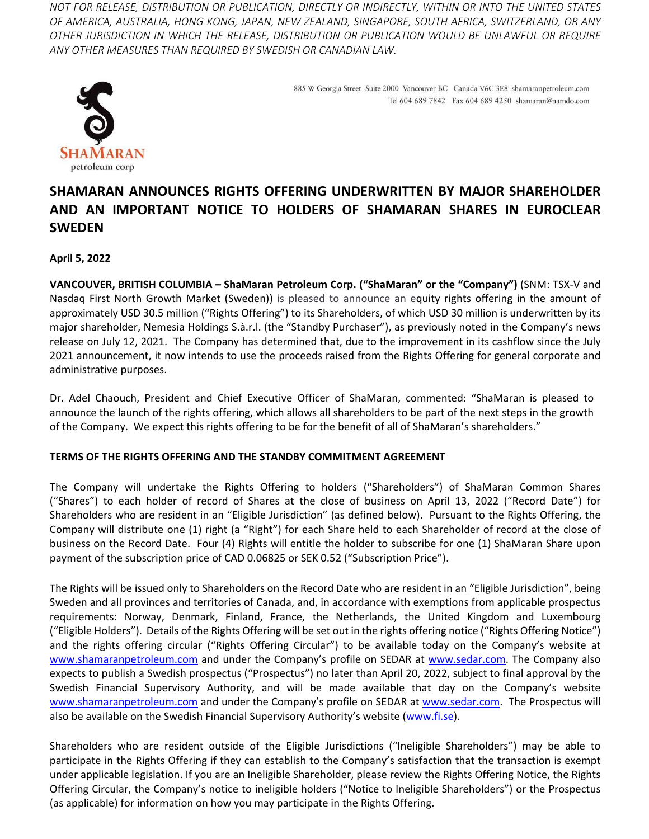*NOT FOR RELEASE, DISTRIBUTION OR PUBLICATION, DIRECTLY OR INDIRECTLY, WITHIN OR INTO THE UNITED STATES OF AMERICA, AUSTRALIA, HONG KONG, JAPAN, NEW ZEALAND, SINGAPORE, SOUTH AFRICA, SWITZERLAND, OR ANY OTHER JURISDICTION IN WHICH THE RELEASE, DISTRIBUTION OR PUBLICATION WOULD BE UNLAWFUL OR REQUIRE ANY OTHER MEASURES THAN REQUIRED BY SWEDISH OR CANADIAN LAW.*



885 W Georgia Street Suite 2000 Vancouver BC Canada V6C 3E8 shamaranpetroleum.com Tel 604 689 7842 Fax 604 689 4250 shamaran@namdo.com

# **SHAMARAN ANNOUNCES RIGHTS OFFERING UNDERWRITTEN BY MAJOR SHAREHOLDER AND AN IMPORTANT NOTICE TO HOLDERS OF SHAMARAN SHARES IN EUROCLEAR SWEDEN**

# **April 5, 2022**

**VANCOUVER, BRITISH COLUMBIA – ShaMaran Petroleum Corp. ("ShaMaran" or the "Company")** (SNM: TSX‐V and Nasdaq First North Growth Market (Sweden)) is pleased to announce an equity rights offering in the amount of approximately USD 30.5 million ("Rights Offering") to its Shareholders, of which USD 30 million is underwritten by its major shareholder, Nemesia Holdings S.à.r.l. (the "Standby Purchaser"), as previously noted in the Company's news release on July 12, 2021. The Company has determined that, due to the improvement in its cashflow since the July 2021 announcement, it now intends to use the proceeds raised from the Rights Offering for general corporate and administrative purposes.

Dr. Adel Chaouch, President and Chief Executive Officer of ShaMaran, commented: "ShaMaran is pleased to announce the launch of the rights offering, which allows all shareholders to be part of the next steps in the growth of the Company. We expect this rights offering to be for the benefit of all of ShaMaran's shareholders."

# **TERMS OF THE RIGHTS OFFERING AND THE STANDBY COMMITMENT AGREEMENT**

The Company will undertake the Rights Offering to holders ("Shareholders") of ShaMaran Common Shares ("Shares") to each holder of record of Shares at the close of business on April 13, 2022 ("Record Date") for Shareholders who are resident in an "Eligible Jurisdiction" (as defined below). Pursuant to the Rights Offering, the Company will distribute one (1) right (a "Right") for each Share held to each Shareholder of record at the close of business on the Record Date. Four (4) Rights will entitle the holder to subscribe for one (1) ShaMaran Share upon payment of the subscription price of CAD 0.06825 or SEK 0.52 ("Subscription Price").

The Rights will be issued only to Shareholders on the Record Date who are resident in an "Eligible Jurisdiction", being Sweden and all provinces and territories of Canada, and, in accordance with exemptions from applicable prospectus requirements: Norway, Denmark, Finland, France, the Netherlands, the United Kingdom and Luxembourg ("Eligible Holders"). Details of the Rights Offering will be set out in the rights offering notice ("Rights Offering Notice") and the rights offering circular ("Rights Offering Circular") to be available today on the Company's website at www.shamaranpetroleum.com and under the Company's profile on SEDAR at www.sedar.com. The Company also expects to publish a Swedish prospectus ("Prospectus") no later than April 20, 2022, subject to final approval by the Swedish Financial Supervisory Authority, and will be made available that day on the Company's website www.shamaranpetroleum.com and under the Company's profile on SEDAR at www.sedar.com. The Prospectus will also be available on the Swedish Financial Supervisory Authority's website (www.fi.se).

Shareholders who are resident outside of the Eligible Jurisdictions ("Ineligible Shareholders") may be able to participate in the Rights Offering if they can establish to the Company's satisfaction that the transaction is exempt under applicable legislation. If you are an Ineligible Shareholder, please review the Rights Offering Notice, the Rights Offering Circular, the Company's notice to ineligible holders ("Notice to Ineligible Shareholders") or the Prospectus (as applicable) for information on how you may participate in the Rights Offering.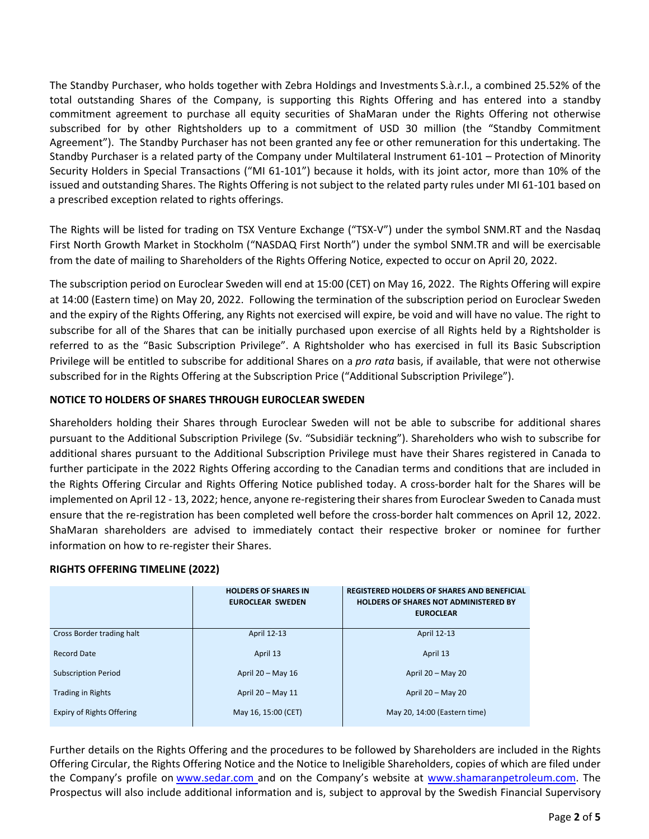The Standby Purchaser, who holds together with Zebra Holdings and Investments S.à.r.l., a combined 25.52% of the total outstanding Shares of the Company, is supporting this Rights Offering and has entered into a standby commitment agreement to purchase all equity securities of ShaMaran under the Rights Offering not otherwise subscribed for by other Rightsholders up to a commitment of USD 30 million (the "Standby Commitment Agreement"). The Standby Purchaser has not been granted any fee or other remuneration for this undertaking. The Standby Purchaser is a related party of the Company under Multilateral Instrument 61‐101 – Protection of Minority Security Holders in Special Transactions ("MI 61-101") because it holds, with its joint actor, more than 10% of the issued and outstanding Shares. The Rights Offering is not subject to the related party rules under MI 61‐101 based on a prescribed exception related to rights offerings.

The Rights will be listed for trading on TSX Venture Exchange ("TSX‐V") under the symbol SNM.RT and the Nasdaq First North Growth Market in Stockholm ("NASDAQ First North") under the symbol SNM.TR and will be exercisable from the date of mailing to Shareholders of the Rights Offering Notice, expected to occur on April 20, 2022.

The subscription period on Euroclear Sweden will end at 15:00 (CET) on May 16, 2022. The Rights Offering will expire at 14:00 (Eastern time) on May 20, 2022. Following the termination of the subscription period on Euroclear Sweden and the expiry of the Rights Offering, any Rights not exercised will expire, be void and will have no value. The right to subscribe for all of the Shares that can be initially purchased upon exercise of all Rights held by a Rightsholder is referred to as the "Basic Subscription Privilege". A Rightsholder who has exercised in full its Basic Subscription Privilege will be entitled to subscribe for additional Shares on a *pro rata* basis, if available, that were not otherwise subscribed for in the Rights Offering at the Subscription Price ("Additional Subscription Privilege").

# **NOTICE TO HOLDERS OF SHARES THROUGH EUROCLEAR SWEDEN**

Shareholders holding their Shares through Euroclear Sweden will not be able to subscribe for additional shares pursuant to the Additional Subscription Privilege (Sv. "Subsidiär teckning"). Shareholders who wish to subscribe for additional shares pursuant to the Additional Subscription Privilege must have their Shares registered in Canada to further participate in the 2022 Rights Offering according to the Canadian terms and conditions that are included in the Rights Offering Circular and Rights Offering Notice published today. A cross-border halt for the Shares will be implemented on April 12 - 13, 2022; hence, anyone re-registering their shares from Euroclear Sweden to Canada must ensure that the re-registration has been completed well before the cross-border halt commences on April 12, 2022. ShaMaran shareholders are advised to immediately contact their respective broker or nominee for further information on how to re‐register their Shares.

# **RIGHTS OFFERING TIMELINE (2022)**

|                                  | <b>HOLDERS OF SHARES IN</b><br><b>EUROCLEAR SWEDEN</b> | <b>REGISTERED HOLDERS OF SHARES AND BENEFICIAL</b><br><b>HOLDERS OF SHARES NOT ADMINISTERED BY</b><br><b>EUROCLEAR</b> |
|----------------------------------|--------------------------------------------------------|------------------------------------------------------------------------------------------------------------------------|
| Cross Border trading halt        | April 12-13                                            | April 12-13                                                                                                            |
| <b>Record Date</b>               | April 13                                               | April 13                                                                                                               |
| <b>Subscription Period</b>       | April $20 - May 16$                                    | April $20 - May 20$                                                                                                    |
| <b>Trading in Rights</b>         | April 20 - May 11                                      | April 20 - May 20                                                                                                      |
| <b>Expiry of Rights Offering</b> | May 16, 15:00 (CET)                                    | May 20, 14:00 (Eastern time)                                                                                           |

Further details on the Rights Offering and the procedures to be followed by Shareholders are included in the Rights Offering Circular, the Rights Offering Notice and the Notice to Ineligible Shareholders, copies of which are filed under the Company's profile on www.sedar.com and on the Company's website at www.shamaranpetroleum.com. The Prospectus will also include additional information and is, subject to approval by the Swedish Financial Supervisory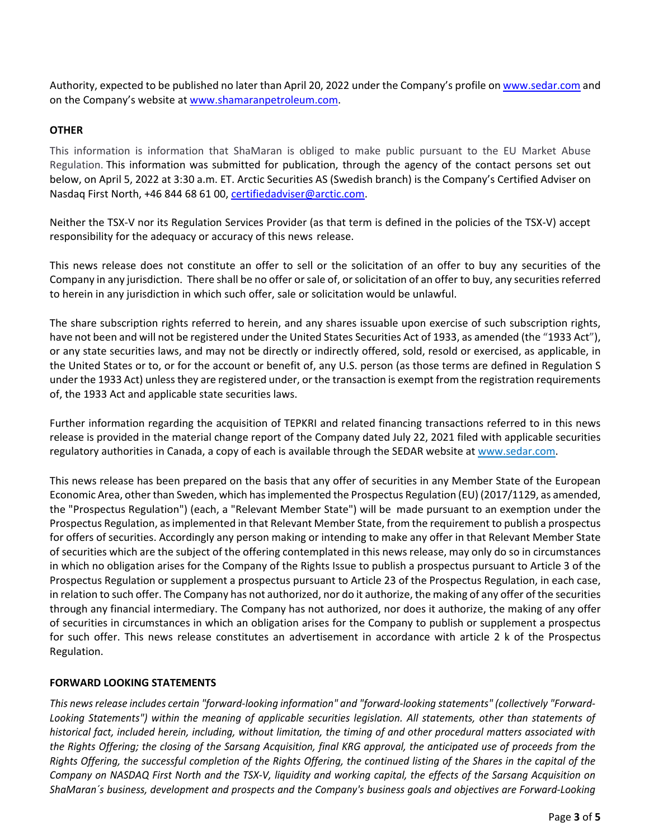Authority, expected to be published no later than April 20, 2022 under the Company's profile on www.sedar.com and on the Company's website at www.shamaranpetroleum.com.

# **OTHER**

This information is information that ShaMaran is obliged to make public pursuant to the EU Market Abuse Regulation. This information was submitted for publication, through the agency of the contact persons set out below, on April 5, 2022 at 3:30 a.m. ET. Arctic Securities AS (Swedish branch) is the Company's Certified Adviser on Nasdaq First North, +46 844 68 61 00, certifiedadviser@arctic.com.

Neither the TSX‐V nor its Regulation Services Provider (as that term is defined in the policies of the TSX‐V) accept responsibility for the adequacy or accuracy of this news release.

This news release does not constitute an offer to sell or the solicitation of an offer to buy any securities of the Company in any jurisdiction. There shall be no offer or sale of, or solicitation of an offer to buy, any securities referred to herein in any jurisdiction in which such offer, sale or solicitation would be unlawful.

The share subscription rights referred to herein, and any shares issuable upon exercise of such subscription rights, have not been and will not be registered under the United States Securities Act of 1933, as amended (the "1933 Act"), or any state securities laws, and may not be directly or indirectly offered, sold, resold or exercised, as applicable, in the United States or to, or for the account or benefit of, any U.S. person (as those terms are defined in Regulation S under the 1933 Act) unlessthey are registered under, or the transaction is exempt from the registration requirements of, the 1933 Act and applicable state securities laws.

Further information regarding the acquisition of TEPKRI and related financing transactions referred to in this news release is provided in the material change report of the Company dated July 22, 2021 filed with applicable securities regulatory authorities in Canada, a copy of each is available through the SEDAR website at www.sedar.com.

This news release has been prepared on the basis that any offer of securities in any Member State of the European Economic Area, other than Sweden, which hasimplemented the Prospectus Regulation (EU) (2017/1129, as amended, the "Prospectus Regulation") (each, a "Relevant Member State") will be made pursuant to an exemption under the Prospectus Regulation, asimplemented in that Relevant Member State, from the requirement to publish a prospectus for offers of securities. Accordingly any person making or intending to make any offer in that Relevant Member State of securities which are the subject of the offering contemplated in this news release, may only do so in circumstances in which no obligation arises for the Company of the Rights Issue to publish a prospectus pursuant to Article 3 of the Prospectus Regulation or supplement a prospectus pursuant to Article 23 of the Prospectus Regulation, in each case, in relation to such offer. The Company has not authorized, nor do it authorize, the making of any offer of the securities through any financial intermediary. The Company has not authorized, nor does it authorize, the making of any offer of securities in circumstances in which an obligation arises for the Company to publish or supplement a prospectus for such offer. This news release constitutes an advertisement in accordance with article 2 k of the Prospectus Regulation.

# **FORWARD LOOKING STATEMENTS**

This news release includes certain "forward-looking information" and "forward-looking statements" (collectively "Forward-*Looking Statements") within the meaning of applicable securities legislation. All statements, other than statements of* historical fact, included herein, including, without limitation, the timing of and other procedural matters associated with the Rights Offering; the closing of the Sarsang Acquisition, final KRG approval, the anticipated use of proceeds from the Rights Offering, the successful completion of the Rights Offering, the continued listing of the Shares in the capital of the Company on NASDAQ First North and the TSX-V, liquidity and working capital, the effects of the Sarsang Acquisition on ShaMaran's business, development and prospects and the Company's business goals and objectives are Forward-Looking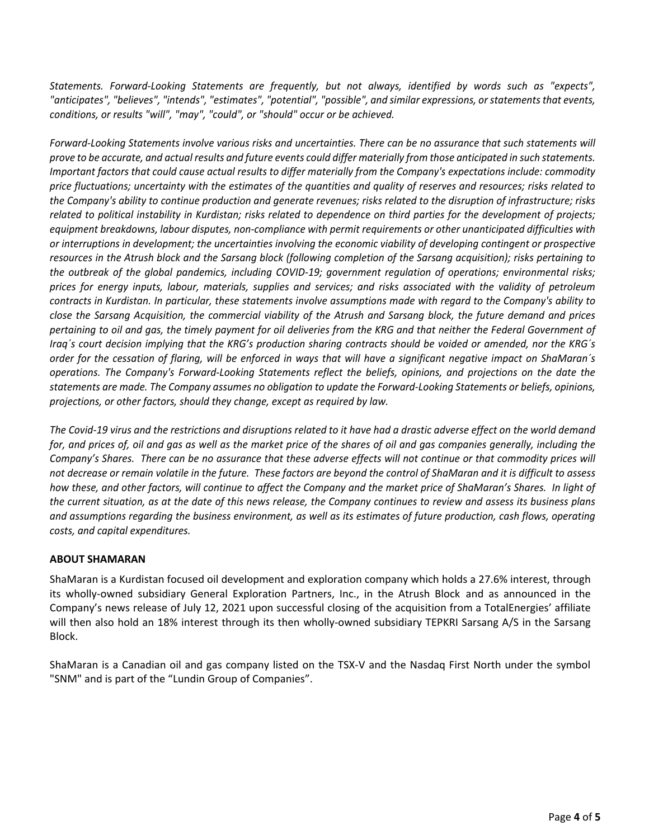*Statements. Forward‐Looking Statements are frequently, but not always, identified by words such as "expects", "anticipates", "believes", "intends", "estimates", "potential", "possible", and similar expressions, or statements that events, conditions, or results "will", "may", "could", or "should" occur or be achieved.*

Forward-Looking Statements involve various risks and uncertainties. There can be no assurance that such statements will prove to be accurate, and actual results and future events could differ materially from those anticipated in such statements. Important factors that could cause actual results to differ materially from the Company's expectations include: commodity price fluctuations; uncertainty with the estimates of the quantities and quality of reserves and resources; risks related to the Company's ability to continue production and generate revenues; risks related to the disruption of infrastructure; risks related to political instability in Kurdistan; risks related to dependence on third parties for the development of projects; *equipment breakdowns, labour disputes, non‐compliance with permit requirements or other unanticipated difficulties with* or interruptions in development; the uncertainties involving the economic viability of developing contingent or prospective resources in the Atrush block and the Sarsang block (following completion of the Sarsang acquisition); risks pertaining to the outbreak of the global pandemics, including COVID-19; government regulation of operations; environmental risks; prices for energy inputs, labour, materials, supplies and services; and risks associated with the validity of petroleum contracts in Kurdistan. In particular, these statements involve assumptions made with regard to the Company's ability to close the Sarsang Acquisition, the commercial viability of the Atrush and Sarsang block, the future demand and prices pertaining to oil and gas, the timely payment for oil deliveries from the KRG and that neither the Federal Government of Iraq's court decision implying that the KRG's production sharing contracts should be voided or amended, nor the KRG's order for the cessation of flaring, will be enforced in ways that will have a significant negative impact on ShaMaran's operations. The Company's Forward-Looking Statements reflect the beliefs, opinions, and projections on the date the statements are made. The Company assumes no obligation to update the Forward-Looking Statements or beliefs, opinions, *projections, or other factors, should they change, except as required by law.*

The Covid-19 virus and the restrictions and disruptions related to it have had a drastic adverse effect on the world demand for, and prices of, oil and gas as well as the market price of the shares of oil and gas companies generally, including the Company's Shares. There can be no assurance that these adverse effects will not continue or that commodity prices will not decrease or remain volatile in the future. These factors are beyond the control of ShaMaran and it is difficult to assess how these, and other factors, will continue to affect the Company and the market price of ShaMaran's Shares. In light of the current situation, as at the date of this news release, the Company continues to review and assess its business plans and assumptions regarding the business environment, as well as its estimates of future production, cash flows, operating *costs, and capital expenditures.*

# **ABOUT SHAMARAN**

ShaMaran is a Kurdistan focused oil development and exploration company which holds a 27.6% interest, through its wholly‐owned subsidiary General Exploration Partners, Inc., in the Atrush Block and as announced in the Company's news release of July 12, 2021 upon successful closing of the acquisition from a TotalEnergies' affiliate will then also hold an 18% interest through its then wholly-owned subsidiary TEPKRI Sarsang A/S in the Sarsang Block.

ShaMaran is a Canadian oil and gas company listed on the TSX‐V and the Nasdaq First North under the symbol "SNM" and is part of the "Lundin Group of Companies".